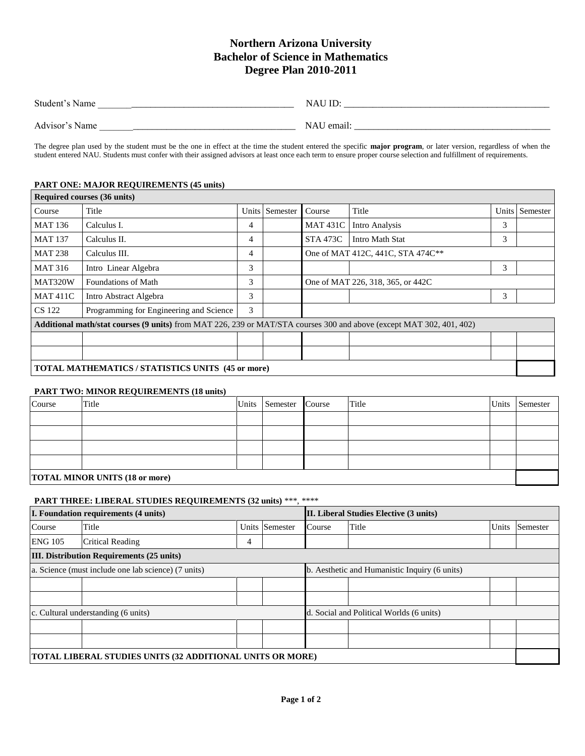# **Northern Arizona University Bachelor of Science in Mathematics Degree Plan 2010-2011**

| Student's Name | IL<br>NAU  |
|----------------|------------|
| Advisor's Name | NAU email. |

The degree plan used by the student must be the one in effect at the time the student entered the specific **major program**, or later version, regardless of when the student entered NAU. Students must confer with their assigned advisors at least once each term to ensure proper course selection and fulfillment of requirements.

## **PART ONE: MAJOR REQUIREMENTS (45 units)**

|                | <b>Required courses (36 units)</b>                                                                                          |   |                |                                   |                                   |   |                |  |
|----------------|-----------------------------------------------------------------------------------------------------------------------------|---|----------------|-----------------------------------|-----------------------------------|---|----------------|--|
| Course         | Title                                                                                                                       |   | Units Semester | Course                            | Title                             |   | Units Semester |  |
| <b>MAT 136</b> | Calculus I.                                                                                                                 | 4 |                | <b>MAT 431C</b>                   | Intro Analysis                    | 3 |                |  |
| <b>MAT 137</b> | Calculus II.                                                                                                                | 4 |                | <b>STA 473C</b>                   | Intro Math Stat                   | 3 |                |  |
| <b>MAT 238</b> | Calculus III.                                                                                                               | 4 |                | One of MAT 412C, 441C, STA 474C** |                                   |   |                |  |
| <b>MAT 316</b> | Intro Linear Algebra                                                                                                        | 3 |                |                                   |                                   | 3 |                |  |
| MAT320W        | Foundations of Math                                                                                                         | 3 |                |                                   | One of MAT 226, 318, 365, or 442C |   |                |  |
| <b>MAT411C</b> | Intro Abstract Algebra                                                                                                      | 3 |                |                                   |                                   | 3 |                |  |
| <b>CS</b> 122  | Programming for Engineering and Science                                                                                     | 3 |                |                                   |                                   |   |                |  |
|                | <b>Additional math/stat courses (9 units)</b> from MAT 226, 239 or MAT/STA courses 300 and above (except MAT 302, 401, 402) |   |                |                                   |                                   |   |                |  |
|                |                                                                                                                             |   |                |                                   |                                   |   |                |  |
|                |                                                                                                                             |   |                |                                   |                                   |   |                |  |
|                | <b>TOTAL MATHEMATICS / STATISTICS UNITS (45 or more)</b>                                                                    |   |                |                                   |                                   |   |                |  |

#### **PART TWO: MINOR REQUIREMENTS (18 units)**

| Course                                | Title |  | Units Semester Course |  | Title |  | Units Semester |
|---------------------------------------|-------|--|-----------------------|--|-------|--|----------------|
|                                       |       |  |                       |  |       |  |                |
|                                       |       |  |                       |  |       |  |                |
|                                       |       |  |                       |  |       |  |                |
|                                       |       |  |                       |  |       |  |                |
| <b>TOTAL MINOR UNITS (18 or more)</b> |       |  |                       |  |       |  |                |

### **PART THREE: LIBERAL STUDIES REQUIREMENTS (32 units)** \*\*\*, \*\*\*\*

| I. Foundation requirements (4 units)                      |                                     |                                               | II. Liberal Studies Elective (3 units) |                                          |       |       |          |
|-----------------------------------------------------------|-------------------------------------|-----------------------------------------------|----------------------------------------|------------------------------------------|-------|-------|----------|
| Course                                                    | Title                               |                                               | Units Semester                         | Course                                   | Title | Units | Semester |
| <b>ENG 105</b>                                            | <b>Critical Reading</b>             | 4                                             |                                        |                                          |       |       |          |
| <b>III. Distribution Requirements (25 units)</b>          |                                     |                                               |                                        |                                          |       |       |          |
| a. Science (must include one lab science) (7 units)       |                                     | b. Aesthetic and Humanistic Inquiry (6 units) |                                        |                                          |       |       |          |
|                                                           |                                     |                                               |                                        |                                          |       |       |          |
|                                                           |                                     |                                               |                                        |                                          |       |       |          |
|                                                           | c. Cultural understanding (6 units) |                                               |                                        | d. Social and Political Worlds (6 units) |       |       |          |
|                                                           |                                     |                                               |                                        |                                          |       |       |          |
|                                                           |                                     |                                               |                                        |                                          |       |       |          |
| TOTAL LIBERAL STUDIES UNITS (32 ADDITIONAL UNITS OR MORE) |                                     |                                               |                                        |                                          |       |       |          |